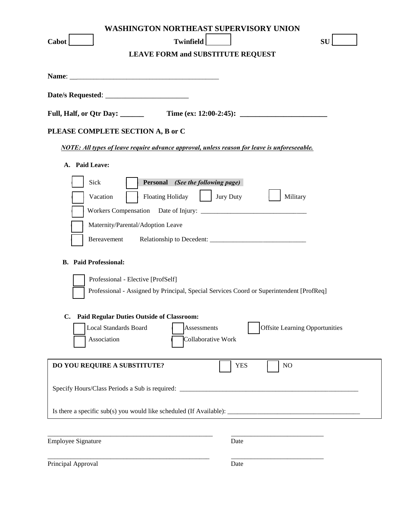| <b>WASHINGTON NORTHEAST SUPERVISORY UNION</b><br><b>Twinfield</b><br><b>SU</b><br>Cabot<br><b>LEAVE FORM and SUBSTITUTE REQUEST</b> |
|-------------------------------------------------------------------------------------------------------------------------------------|
|                                                                                                                                     |
|                                                                                                                                     |
|                                                                                                                                     |
| PLEASE COMPLETE SECTION A, B or C                                                                                                   |
| <b>NOTE:</b> All types of leave require advance approval, unless reason for leave is unforeseeable.                                 |
| A. Paid Leave:                                                                                                                      |
| Sick<br>Personal (See the following page)                                                                                           |
| <b>Floating Holiday</b><br>Jury Duty<br>Military<br>Vacation                                                                        |
|                                                                                                                                     |
| Maternity/Parental/Adoption Leave                                                                                                   |
| Bereavement                                                                                                                         |
| <b>B.</b> Paid Professional:                                                                                                        |
| Professional - Elective [ProfSelf]                                                                                                  |
| Professional - Assigned by Principal, Special Services Coord or Superintendent [ProfReq]                                            |
| <b>Paid Regular Duties Outside of Classroom:</b>                                                                                    |
| <b>Offsite Learning Opportunities</b><br><b>Local Standards Board</b><br>Assessments                                                |
| Collaborative Work<br>Association                                                                                                   |
| DO YOU REQUIRE A SUBSTITUTE?<br><b>YES</b><br>NO                                                                                    |
|                                                                                                                                     |
|                                                                                                                                     |
| <b>Employee Signature</b><br>Date                                                                                                   |

Principal Approval Date